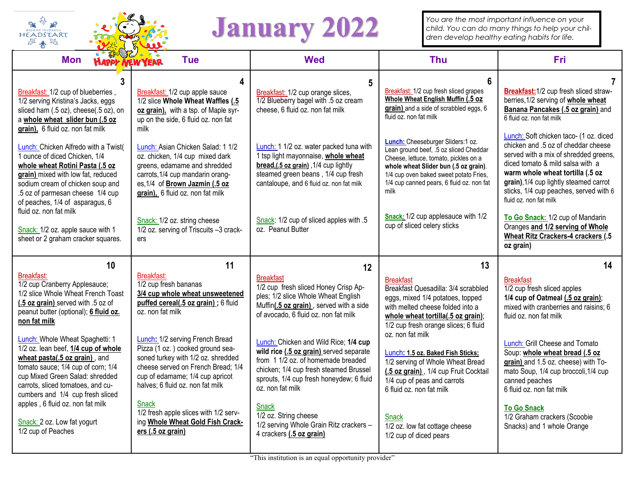

## January 2022 *You are the most important influence on your child. You can do many things to help your dren develop healthy eating habits for life.*

*You are the most important influence on your* 

| <b>HAPPY NEW YEAR</b><br><b>Mon</b>                                                                                                                                                                                                                                                                                                                                                                                                                                                                                                          | <b>Tue</b>                                                                                                                                                                                                                                                                                                                                                                                                                                                                           | <b>Wed</b>                                                                                                                                                                                                                                                                                                                                                                                                                                                                                                                                  | <b>Thu</b>                                                                                                                                                                                                                                                                                                                                                                                                                                                                                       | <b>Fri</b>                                                                                                                                                                                                                                                                                                                                                                                                                                         |
|----------------------------------------------------------------------------------------------------------------------------------------------------------------------------------------------------------------------------------------------------------------------------------------------------------------------------------------------------------------------------------------------------------------------------------------------------------------------------------------------------------------------------------------------|--------------------------------------------------------------------------------------------------------------------------------------------------------------------------------------------------------------------------------------------------------------------------------------------------------------------------------------------------------------------------------------------------------------------------------------------------------------------------------------|---------------------------------------------------------------------------------------------------------------------------------------------------------------------------------------------------------------------------------------------------------------------------------------------------------------------------------------------------------------------------------------------------------------------------------------------------------------------------------------------------------------------------------------------|--------------------------------------------------------------------------------------------------------------------------------------------------------------------------------------------------------------------------------------------------------------------------------------------------------------------------------------------------------------------------------------------------------------------------------------------------------------------------------------------------|----------------------------------------------------------------------------------------------------------------------------------------------------------------------------------------------------------------------------------------------------------------------------------------------------------------------------------------------------------------------------------------------------------------------------------------------------|
| 3<br>Breakfast: 1/2 cup of blueberries,<br>1/2 serving Kristina's Jacks, eggs<br>sliced ham (.5 oz), cheese(.5 oz), on<br>a whole wheat slider bun (.5 oz<br>grain), 6 fluid oz. non fat milk                                                                                                                                                                                                                                                                                                                                                | 4<br>Breakfast: 1/2 cup apple sauce<br>1/2 slice Whole Wheat Waffles (.5<br>oz grain), with a tsp. of Maple syr-<br>up on the side, 6 fluid oz. non fat<br>milk                                                                                                                                                                                                                                                                                                                      | Breakfast: 1/2 cup orange slices,<br>1/2 Blueberry bagel with .5 oz cream<br>cheese, 6 fluid oz. non fat milk                                                                                                                                                                                                                                                                                                                                                                                                                               | 6<br>Breakfast: 1/2 cup fresh sliced grapes<br>Whole Wheat English Muffin (.5 oz<br>grain) and a side of scrabbled eggs, 6<br>fluid oz. non fat milk                                                                                                                                                                                                                                                                                                                                             | Breakfast: 1/2 cup fresh sliced straw-<br>berries, 1/2 serving of whole wheat<br>Banana Pancakes (.5 oz grain) and<br>6 fluid oz. non fat milk                                                                                                                                                                                                                                                                                                     |
| Lunch: Chicken Alfredo with a Twist(<br>1 ounce of diced Chicken, 1/4<br>whole wheat Rotini Pasta (.5 oz<br>grain) mixed with low fat, reduced<br>sodium cream of chicken soup and<br>.5 oz of parmesan cheese 1/4 cup<br>of peaches, 1/4 of asparagus, 6                                                                                                                                                                                                                                                                                    | Lunch: Asian Chicken Salad: 1 1/2<br>oz. chicken, 1/4 cup mixed dark<br>greens, edamame and shredded<br>carrots, 1/4 cup mandarin orang-<br>es, 1/4 of Brown Jazmin (.5 oz<br>grain), 6 fluid oz. non fat milk                                                                                                                                                                                                                                                                       | Lunch: 1 1/2 oz. water packed tuna with<br>1 tsp light mayonnaise, whole wheat<br>bread,(.5 oz grain), 1/4 cup lightly<br>steamed green beans, 1/4 cup fresh<br>cantaloupe, and 6 fluid oz. non fat milk                                                                                                                                                                                                                                                                                                                                    | Lunch: Cheeseburger Sliders:1 oz.<br>Lean ground beef, .5 oz sliced Cheddar<br>Cheese, lettuce, tomato, pickles on a<br>whole wheat Slider bun (.5 oz grain).<br>1/4 cup oven baked sweet potato Fries,<br>1/4 cup canned pears, 6 fluid oz. non fat<br>milk                                                                                                                                                                                                                                     | Lunch: Soft chicken taco- (1 oz. diced<br>chicken and .5 oz of cheddar cheese<br>served with a mix of shredded greens,<br>diced tomato & mild salsa with a<br>warm whole wheat tortilla (.5 oz<br>grain), 1/4 cup lightly steamed carrot<br>sticks, 1/4 cup peaches, served with 6<br>fluid oz. non fat milk                                                                                                                                       |
| fluid oz. non fat milk<br>Snack: 1/2 oz. apple sauce with 1<br>sheet or 2 graham cracker squares.                                                                                                                                                                                                                                                                                                                                                                                                                                            | Snack: 1/2 oz. string cheese<br>1/2 oz. serving of Triscuits -3 crack-<br>ers                                                                                                                                                                                                                                                                                                                                                                                                        | Snack: 1/2 cup of sliced apples with .5<br>oz. Peanut Butter                                                                                                                                                                                                                                                                                                                                                                                                                                                                                | Snack: 1/2 cup applesauce with 1/2<br>cup of sliced celery sticks                                                                                                                                                                                                                                                                                                                                                                                                                                | To Go Snack: 1/2 cup of Mandarin<br>Oranges and 1/2 serving of Whole<br>Wheat Ritz Crackers-4 crackers (.5<br>oz grain)                                                                                                                                                                                                                                                                                                                            |
| 10<br>Breakfast:<br>1/2 cup Cranberry Applesauce;<br>1/2 slice Whole Wheat French Toast<br>(.5 oz grain) served with .5 oz of<br>peanut butter (optional); 6 fluid oz.<br>non fat milk<br>Lunch: Whole Wheat Spaghetti: 1<br>1/2 oz. lean beef, 1/4 cup of whole<br>wheat pasta(.5 oz grain), and<br>tomato sauce; 1/4 cup of corn; 1/4<br>cup Mixed Green Salad: shredded<br>carrots, sliced tomatoes, and cu-<br>cumbers and 1/4 cup fresh sliced<br>apples, 6 fluid oz. non fat milk<br>Snack: 2 oz. Low fat yogurt<br>1/2 cup of Peaches | 11<br>Breakfast:<br>1/2 cup fresh bananas<br>3/4 cup whole wheat unsweetened<br>puffed cereal(.5 oz grain) ; 6 fluid<br>oz. non fat milk<br>Lunch: 1/2 serving French Bread<br>Pizza (1 oz.) cooked ground sea-<br>soned turkey with 1/2 oz. shredded<br>cheese served on French Bread; 1/4<br>cup of edamame; 1/4 cup apricot<br>halves; 6 fluid oz. non fat milk<br><b>Snack</b><br>1/2 fresh apple slices with 1/2 serv-<br>ing Whole Wheat Gold Fish Crack-<br>ers (.5 oz grain) | 12<br><b>Breakfast</b><br>1/2 cup fresh sliced Honey Crisp Ap-<br>ples; 1/2 slice Whole Wheat English<br>Muffin(.5 oz grain), served with a side<br>of avocado, 6 fluid oz. non fat milk<br>Lunch: Chicken and Wild Rice; 1/4 cup<br>wild rice (.5 oz grain) served separate<br>from 11/2 oz. of homemade breaded<br>chicken; 1/4 cup fresh steamed Brussel<br>sprouts, 1/4 cup fresh honeydew; 6 fluid<br>oz. non fat milk<br><b>Snack</b><br>1/2 oz. String cheese<br>1/2 serving Whole Grain Ritz crackers -<br>4 crackers (.5 oz grain) | 13<br><b>Breakfast</b><br>Breakfast Quesadilla: 3/4 scrabbled<br>eggs, mixed 1/4 potatoes, topped<br>with melted cheese folded into a<br>whole wheat tortilla(.5 oz grain);<br>1/2 cup fresh orange slices; 6 fluid<br>oz. non fat milk<br>Lunch: 1.5 oz. Baked Fish Sticks;<br>1/2 serving of Whole Wheat Bread<br>(.5 oz grain), 1/4 cup Fruit Cocktail<br>1/4 cup of peas and carrots<br>6 fluid oz. non fat milk<br><b>Snack</b><br>1/2 oz. low fat cottage cheese<br>1/2 cup of diced pears | 14<br><b>Breakfast</b><br>1/2 cup fresh sliced apples<br>1/4 cup of Oatmeal (.5 oz grain);<br>mixed with cranberries and raisins; 6<br>fluid oz. non fat milk<br>Lunch: Grill Cheese and Tomato<br>Soup: whole wheat bread (.5 oz<br>grain) and 1.5 oz. cheese) with To-<br>mato Soup, 1/4 cup broccoli, 1/4 cup<br>canned peaches<br>6 fluid oz. non fat milk<br><b>To Go Snack</b><br>1/2 Graham crackers (Scoobie<br>Snacks) and 1 whole Orange |